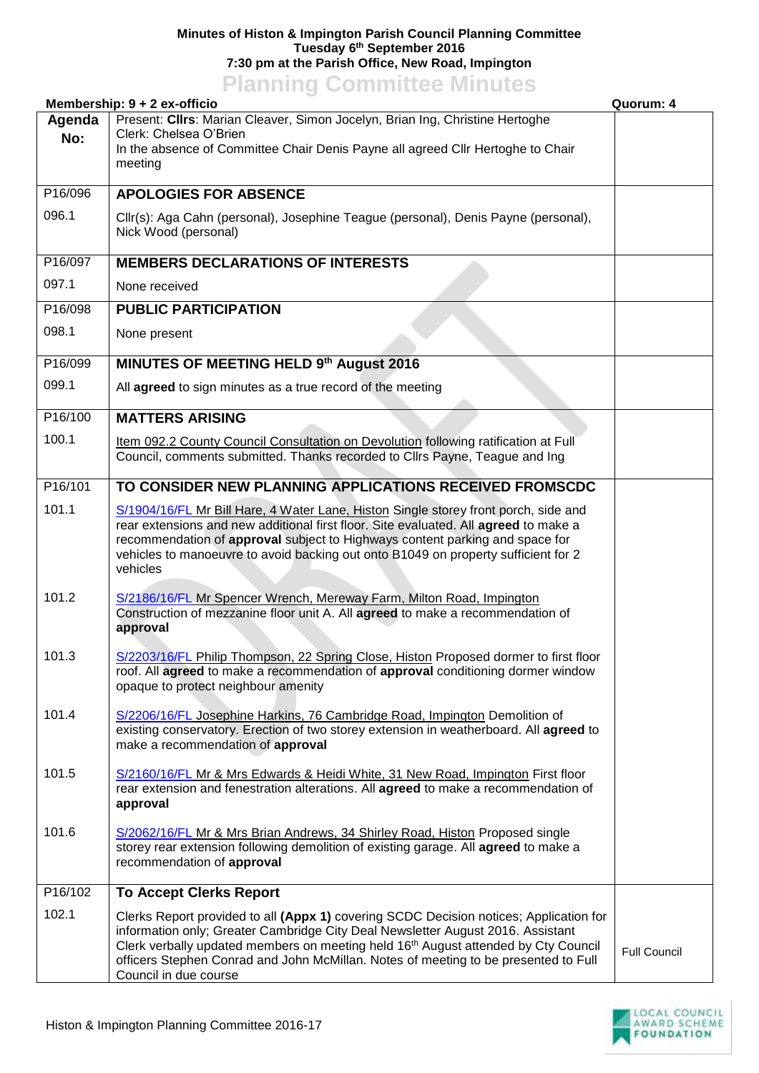## **Minutes of Histon & Impington Parish Council Planning Committee Tuesday 6 th September 2016 7:30 pm at the Parish Office, New Road, Impington**

## **Planning Committee Minutes**

| Membership: 9 + 2 ex-officio |                                                                                                                                                                                                                                                                                                                                                                                             | Quorum: 4           |
|------------------------------|---------------------------------------------------------------------------------------------------------------------------------------------------------------------------------------------------------------------------------------------------------------------------------------------------------------------------------------------------------------------------------------------|---------------------|
| Agenda<br>No:                | Present: Clirs: Marian Cleaver, Simon Jocelyn, Brian Ing, Christine Hertoghe<br>Clerk: Chelsea O'Brien<br>In the absence of Committee Chair Denis Payne all agreed Cllr Hertoghe to Chair<br>meeting                                                                                                                                                                                        |                     |
| P16/096                      | <b>APOLOGIES FOR ABSENCE</b>                                                                                                                                                                                                                                                                                                                                                                |                     |
| 096.1                        | Cllr(s): Aga Cahn (personal), Josephine Teague (personal), Denis Payne (personal),<br>Nick Wood (personal)                                                                                                                                                                                                                                                                                  |                     |
| P16/097                      | <b>MEMBERS DECLARATIONS OF INTERESTS</b>                                                                                                                                                                                                                                                                                                                                                    |                     |
| 097.1                        | None received                                                                                                                                                                                                                                                                                                                                                                               |                     |
| P16/098                      | <b>PUBLIC PARTICIPATION</b>                                                                                                                                                                                                                                                                                                                                                                 |                     |
| 098.1                        | None present                                                                                                                                                                                                                                                                                                                                                                                |                     |
| P16/099                      | MINUTES OF MEETING HELD 9th August 2016                                                                                                                                                                                                                                                                                                                                                     |                     |
| 099.1                        | All agreed to sign minutes as a true record of the meeting                                                                                                                                                                                                                                                                                                                                  |                     |
| P16/100                      | <b>MATTERS ARISING</b>                                                                                                                                                                                                                                                                                                                                                                      |                     |
| 100.1                        | Item 092.2 County Council Consultation on Devolution following ratification at Full<br>Council, comments submitted. Thanks recorded to Cllrs Payne, Teague and Ing                                                                                                                                                                                                                          |                     |
| P16/101                      | TO CONSIDER NEW PLANNING APPLICATIONS RECEIVED FROMSCDC                                                                                                                                                                                                                                                                                                                                     |                     |
| 101.1                        | S/1904/16/FL Mr Bill Hare, 4 Water Lane, Histon Single storey front porch, side and<br>rear extensions and new additional first floor. Site evaluated. All agreed to make a<br>recommendation of approval subject to Highways content parking and space for<br>vehicles to manoeuvre to avoid backing out onto B1049 on property sufficient for 2<br>vehicles                               |                     |
| 101.2                        | S/2186/16/FL Mr Spencer Wrench, Mereway Farm, Milton Road, Impington<br>Construction of mezzanine floor unit A. All agreed to make a recommendation of<br>approval                                                                                                                                                                                                                          |                     |
| 101.3                        | S/2203/16/FL Philip Thompson, 22 Spring Close, Histon Proposed dormer to first floor<br>roof. All agreed to make a recommendation of approval conditioning dormer window<br>opaque to protect neighbour amenity                                                                                                                                                                             |                     |
| 101.4                        | S/2206/16/FL Josephine Harkins, 76 Cambridge Road, Impington Demolition of<br>existing conservatory. Erection of two storey extension in weatherboard. All agreed to<br>make a recommendation of approval                                                                                                                                                                                   |                     |
| 101.5                        | S/2160/16/FL Mr & Mrs Edwards & Heidi White, 31 New Road, Impington First floor<br>rear extension and fenestration alterations. All agreed to make a recommendation of<br>approval                                                                                                                                                                                                          |                     |
| 101.6                        | S/2062/16/FL Mr & Mrs Brian Andrews, 34 Shirley Road, Histon Proposed single<br>storey rear extension following demolition of existing garage. All agreed to make a<br>recommendation of approval                                                                                                                                                                                           |                     |
| P16/102                      | <b>To Accept Clerks Report</b>                                                                                                                                                                                                                                                                                                                                                              |                     |
| 102.1                        | Clerks Report provided to all (Appx 1) covering SCDC Decision notices; Application for<br>information only; Greater Cambridge City Deal Newsletter August 2016. Assistant<br>Clerk verbally updated members on meeting held 16 <sup>th</sup> August attended by Cty Council<br>officers Stephen Conrad and John McMillan. Notes of meeting to be presented to Full<br>Council in due course | <b>Full Council</b> |